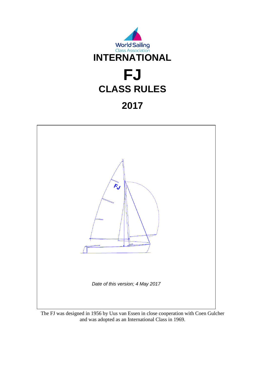



The FJ was designed in 1956 by Uus van Essen in close cooperation with Coen Gulcher and was adopted as an International Class in 1969.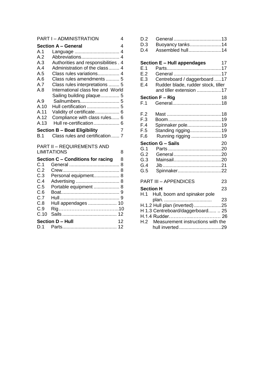|      | <b>PART I - ADMINISTRATION</b>       | 4              |
|------|--------------------------------------|----------------|
|      | <b>Section A - General</b>           | 4              |
| A.1  | Language  4                          |                |
| A.2  | Abbreviations 4                      |                |
| A.3  | Authorities and responsibilities . 4 |                |
| A.4  | Administration of the class 4        |                |
| A.5  | Class rules variations 4             |                |
| A.6  | Class rules amendments  5            |                |
| A.7  | Class rules interpretations  5       |                |
| A.8  | International class fee and World    |                |
|      | Sailing building plaque 5            |                |
| A.9  | Sailnumbers 5                        |                |
| A.10 | Hull certification  5                |                |
| A.11 | Validity of certificate 6            |                |
| A.12 | Compliance with class rules 6        |                |
| A.13 | Hull re-certification 6              |                |
|      | <b>Section B - Boat Eligibility</b>  | $\overline{7}$ |
| B.1  | Class rules and certification  7     |                |
|      | <b>PART II - REQUIREMENTS AND</b>    |                |
|      | <b>LIMITATIONS</b>                   | 8              |
|      | Section C - Conditions for racing    | 8              |
| C.1  |                                      |                |
| C.2  |                                      |                |
| C.3  | Personal equipment 8                 |                |
| C.4  |                                      |                |
| C.5  | Portable equipment  8                |                |
| C.6  |                                      |                |
| C.7  |                                      |                |
| C.8  | Hull appendages  10                  |                |
| C.9  |                                      |                |
| C.10 |                                      |                |
|      | Section D - Hull                     | 12             |
| D.1  |                                      |                |
|      |                                      |                |

| D.2<br>D.3<br>D.4 | Buoyancy tanks14<br>Assembled hull14           |  |
|-------------------|------------------------------------------------|--|
|                   | Section E - Hull appendages<br>$\overline{17}$ |  |
|                   |                                                |  |
|                   |                                                |  |
| E.3               | Centreboard / daggerboard 17                   |  |

- E.4 Rudder blade, rudder stock, tiller and tiller extension ..................17
- **Section F – Rig** 18 F.1 General....................................18
- F.2 Mast ........................................18 F.3 Boom.......................................19
- F.4 Spinnaker pole.........................19
- F.5 Standing rigging.......................19 F**.**6Running rigging ......................19

### **Section G – Sails** 20

#### PART III – APPENDICES 23 **Section H** 23

| H.1 Hull, boom and spinaker pole      |    |
|---------------------------------------|----|
|                                       | 23 |
| H.1.2 Hull plan (inverted) 25         |    |
| H 1.3 Centreboard/daggerboard  25     |    |
|                                       |    |
| H.2 Measurement instructions with the |    |
| hull inverted29                       |    |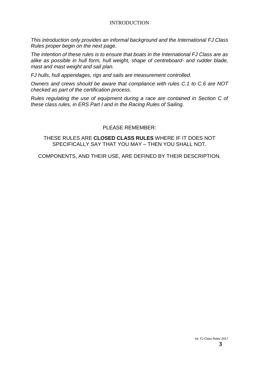#### INTRODUCTION

*This introduction only provides an informal background and the International FJ Class Rules proper begin on the next page.*

*The intention of these rules is to ensure that boats in the International FJ Class are as alike as possible in hull form, hull weight, shape of centreboard- and rudder blade, mast and mast weight and sail plan.*

*FJ hulls, hull appendages, rigs and sails are measurement controlled.*

*Owners and crews should be aware that compliance with rules C.1 to C.6 are NOT checked as part of the certification process.*

*Rules regulating the use of equipment during a race are contained in Section C of these class rules, in ERS Part I and in the Racing Rules of Sailing.*

#### PI FASE REMEMBER:

THESE RULES ARE **CLOSED CLASS RULES** WHERE IF IT DOES NOT SPECIFICALLY SAY THAT YOU MAY – THEN YOU SHALL NOT.

COMPONENTS, AND THEIR USE, ARE DEFINED BY THEIR DESCRIPTION.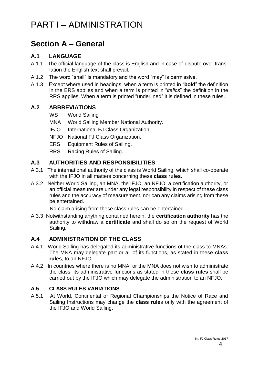# **Section A – General**

#### **A.1 LANGUAGE**

- A.1.1 The official language of the class is English and in case of dispute over translation the English text shall prevail.
- A.1.2 The word "shall" is mandatory and the word "may" is permissive.
- A.1.3 Except where used in headings, when a term is printed in "**bold**" the definition in the ERS applies and when a term is printed in "*italics*" the definition in the RRS applies. When a term is printed "underlined" it is defined in these rules.

#### **A.2 ABBREVIATIONS**

- WS World Sailing
- MNA World Sailing Member National Authority.
- IFJO International FJ Class Organization.
- NFJO National FJ Class Organization.
- ERS Equipment Rules of Sailing.
- RRS Racing Rules of Sailing.

#### **A.3 AUTHORITIES AND RESPONSIBILITIES**

- A.3.1 The international authority of the class is World Sailing, which shall co-operate with the IFJO in all matters concerning these **class rules**.
- A.3.2 Neither World Sailing, an MNA, the IFJO, an NFJO, a certification authority, or an official measurer are under any legal responsibility in respect of these class rules and the accuracy of measurement, nor can any claims arising from these be entertained.

No claim arising from these class rules can be entertained.

A.3.3 Notwithstanding anything contained herein, the **certification authority** has the authority to withdraw a **certificate** and shall do so on the request of World Sailing.

#### **A.4 ADMINISTRATION OF THE CLASS**

- A.4.1 World Sailing has delegated its administrative functions of the class to MNAs. The MNA may delegate part or all of its functions, as stated in these **class rules**, to an NFJO.
- A.4.2 In countries where there is no MNA, or the MNA does not wish to administrate the class, its administrative functions as stated in these **class rules** shall be carried out by the IFJO which may delegate the administration to an NFJO.

#### **A.5 CLASS RULES VARIATIONS**

A.5.1 At World, Continental or Regional Championships the Notice of Race and Sailing Instructions may change the **class rule**s only with the agreement of the IFJO and World Sailing.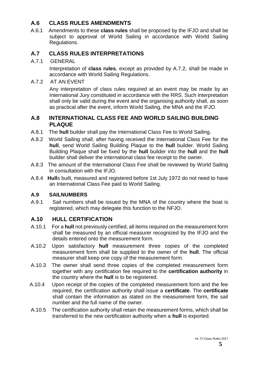#### **A.6 CLASS RULES AMENDMENTS**

 A.6.1 Amendments to these **class rules** shall be proposed by the IFJO and shall be subject to approval of World Sailing in accordance with World Sailing Regulations.

#### **A.7 CLASS RULES INTERPRETATIONS**

#### A.7.1 GENERAL

Interpretation of **class rules**, except as provided by A.7.2, shall be made in accordance with World Sailing Regulations.

A.7.2 AT AN EVENT

Any interpretation of class rules required at an event may be made by an International Jury constituted in accordance with the RRS. Such interpretation shall only be valid during the event and the organising authority shall, as soon as practical after the event, inform World Sailing, the MNA and the IFJO.

#### **A.8 INTERNATIONAL CLASS FEE AND WORLD SAILING BUILDING PLAQUE**

- A.8.1 The **hull** builder shall pay the International Class Fee to World Sailing.
- A.8.2 World Sailing shall, after having received the International Class Fee for the **hull**, send World Sailing Building Plaque to the **hull** builder. World Sailing Building Plaque shall be fixed by the **hull** builder into the **hull** and the **hull** builder shall deliver the international class fee receipt to the owner.
- A.8.3 The amount of the International Class Fee shall be reviewed by World Sailing in consultation with the IFJO.
- A.8.4 **Hull**s built, measured and registered before 1st July 1972 do not need to have an International Class Fee paid to World Sailing.

#### **A.9 SAILNUMBERS**

A.9.1 Sail numbers shall be issued by the MNA of the country where the boat is registered, which may delegate this function to the NFJO.

### **A.10 HULL CERTIFICATION**

- A.10.1 For a **hull** not previously certified, all items required on the measurement form shall be measured by an official measurer recognized by the IFJO and the details entered onto the measurement form.
- A.10.2 Upon satisfactory **hull** measurement three copies of the completed measurement form shall be supplied to the owner of the **hull**. The official measurer shall keep one copy of the measurement form.
- A.10.3 The owner shall send three copies of the completed measurement form together with any certification fee required to the **certification authority** in the country where the **hull** is to be registered.
- A.10.4 Upon receipt of the copies of the completed measurement form and the fee required, the certification authority shall issue a **certificate**. The **certificate**  shall contain the information as stated on the measurement form, the sail number and the full name of the owner.
- A.10.5 The certification authority shall retain the measurement forms, which shall be transferred to the new certification authority when a **hull** is exported.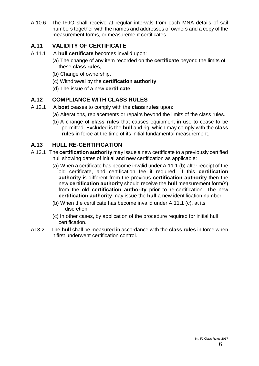A.10.6 The IFJO shall receive at regular intervals from each MNA details of sail numbers together with the names and addresses of owners and a copy of the measurement forms, or measurement certificates.

#### **A.11 VALIDITY OF CERTIFICATE**

- A.11.1 A **hull certificate** becomes invalid upon:
	- (a) The change of any item recorded on the **certificate** beyond the limits of these **class rules**,
	- (b) Change of ownership,
	- (c) Withdrawal by the **certification authority**,
	- (d) The issue of a new **certificate**.

#### **A.12 COMPLIANCE WITH CLASS RULES**

- A.12.1 A **boat** ceases to comply with the **class rules** upon:
	- (a) Alterations, replacements or repairs beyond the limits of the class rules.
	- (b) A change of **class rules** that causes equipment in use to cease to be permitted. Excluded is the **hull** and rig, which may comply with the **class rules** in force at the time of its initial fundamental measurement.

#### **A.13 HULL RE-CERTIFICATION**

- A.13.1 The **certification authority** may issue a new certificate to a previously certified hull showing dates of initial and new certification as applicable:
	- (a) When a certificate has become invalid under A.11.1 (b) after receipt of the old certificate, and certification fee if required. If this **certification authority** is different from the previous **certification authority** then the new **certification authority** should receive the **hull** measurement form(s) from the old **certification authority** prior to re-certification. The new **certification authority** may issue the **hull** a new identification number.
	- (b) When the certificate has become invalid under A.11.1 (c), at its discretion.
	- (c) In other cases, by application of the procedure required for initial hull certification.
- A13.2 The **hull** shall be measured in accordance with the **class rules** in force when it first underwent certification control.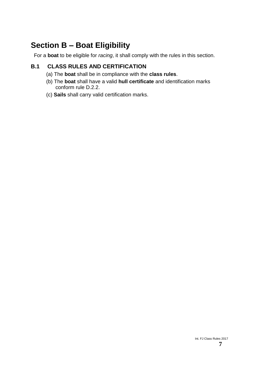# **Section B – Boat Eligibility**

For a **boat** to be eligible for *racing*, it shall comply with the rules in this section.

# **B.1 CLASS RULES AND CERTIFICATION**

- (a) The **boat** shall be in compliance with the **class rules**.
- (b) The **boat** shall have a valid **hull certificate** and identification marks conform rule D.2.2.
- (c) **Sails** shall carry valid certification marks.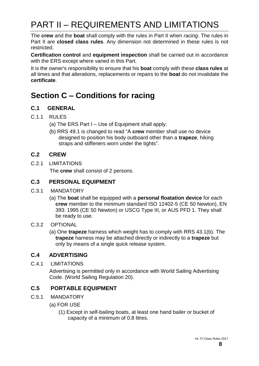# PART II – REQUIREMENTS AND LIMITATIONS

The **crew** and the **boat** shall comply with the rules in Part II when *racing*. The rules in Part II are **closed class rules**. Any dimension not determined in these rules is not restricted.

**Certification control** and **equipment inspection** shall be carried out in accordance with the ERS except where varied in this Part.

It is the owner's responsibility to ensure that his **boat** comply with these **class rules** at all times and that alterations, replacements or repairs to the **boat** do not invalidate the **certificate**.

# **Section C – Conditions for racing**

#### **C.1 GENERAL**

- C.1.1 RULES
	- (a) The ERS Part I Use of Equipment shall apply.
	- (b) RRS 49.1 is changed to read "A **crew** member shall use no device designed to position his body outboard other than a **trapeze**, hiking straps and stiffeners worn under the tights".

#### **C.2 CREW**

C.2.1 LIMITATIONS

The **crew** shall consist of 2 persons.

#### **C.3 PERSONAL EQUIPMENT**

- C.3.1 MANDATORY
	- (a) The **boat** shall be equipped with a **personal floatation device** for each **crew** member to the minimum standard ISO 12402-5 (CE 50 Newton), EN 393: 1995 (CE 50 Newton) or USCG Type III, or AUS PFD 1. They shall be ready to use.

#### C.3.2 OPTIONAL

(a) One **trapeze** harness which weight has to comply with RRS 43.1(b). The **trapeze** harness may be attached directly or indirectly to a **trapeze** but only by means of a single quick release system.

#### **C.4 ADVERTISING**

C.4.1 LIMITATIONS

Advertising is permitted only in accordance with World Sailing Advertising Code. (World Sailing Regulation 20).

#### **C.5 PORTABLE EQUIPMENT**

- C.5.1 MANDATORY
	- (a) FOR USE
		- (1) Except in self-bailing boats, at least one hand bailer or bucket of capacity of a minimum of 0.8 litres.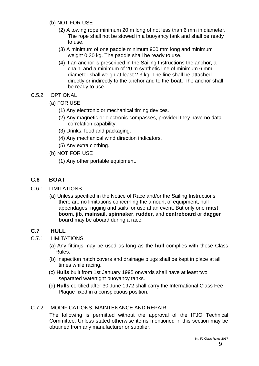- (b) NOT FOR USE
	- (2) A towing rope minimum 20 m long of not less than 6 mm in diameter. The rope shall not be stowed in a buoyancy tank and shall be ready to use.
	- (3) A minimum of one paddle minimum 900 mm long and minimum weight 0.30 kg. The paddle shall be ready to use.
	- (4) If an anchor is prescribed in the Sailing Instructions the anchor, a chain, and a minimum of 20 m synthetic line of minimum 6 mm diameter shall weigh at least 2.3 kg. The line shall be attached directly or indirectly to the anchor and to the **boat**. The anchor shall be ready to use.
- C.5.2 OPTIONAL
	- (a) FOR USE
		- (1) Any electronic or mechanical timing devices.
		- (2) Any magnetic or electronic compasses, provided they have no data correlation capability.
		- (3) Drinks, food and packaging.
		- (4) Any mechanical wind direction indicators.
		- (5) Any extra clothing.
	- (b) NOT FOR USE
		- (1) Any other portable equipment.

### **C.6 BOAT**

- C.6.1 LIMITATIONS
	- (a) Unless specified in the Notice of Race and/or the Sailing Instructions there are no limitations concerning the amount of equipment, hull appendages, rigging and sails for use at an event. But only one **mast**, **boom**, **jib**, **mainsail**, **spinnaker**, **rudder**, and **centreboard** or **dagger board** may be aboard during a race.

#### **C.7 HULL**

- C.7.1 LIMITATIONS
	- (a) Any fittings may be used as long as the **hull** complies with these Class Rules.
	- (b) Inspection hatch covers and drainage plugs shall be kept in place at all times while racing.
	- (c) **Hulls** built from 1st January 1995 onwards shall have at least two separated watertight buoyancy tanks.
	- (d) **Hulls** certified after 30 June 1972 shall carry the International Class Fee Plaque fixed in a conspicuous position.

#### C.7.2 MODIFICATIONS, MAINTENANCE AND REPAIR

The following is permitted without the approval of the IFJO Technical Committee. Unless stated otherwise items mentioned in this section may be obtained from any manufacturer or supplier.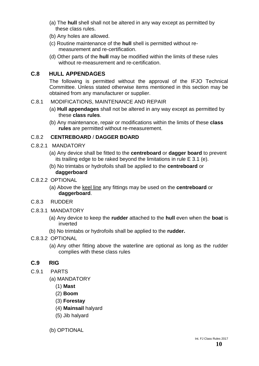- (a) The **hull** shell shall not be altered in any way except as permitted by these class rules.
- (b) Any holes are allowed.
- (c) Routine maintenance of the **hull** shell is permitted without remeasurement and re-certification.
- (d) Other parts of the **hull** may be modified within the limits of these rules without re-measurement and re-certification.

#### **C.8 HULL APPENDAGES**

The following is permitted without the approval of the IFJO Technical Committee. Unless stated otherwise items mentioned in this section may be obtained from any manufacturer or supplier.

#### C.8.1 MODIFICATIONS, MAINTENANCE AND REPAIR

- (a) **Hull appendages** shall not be altered in any way except as permitted by these **class rules**.
- (b) Any maintenance, repair or modifications within the limits of these **class rules** are permitted without re-measurement.

#### C.8.2 **CENTREBOARD** / **DAGGER BOARD**

- C.8.2.1 MANDATORY
	- (a) Any device shall be fitted to the **centreboard** or **dagger board** to prevent its trailing edge to be raked beyond the limitations in rule E 3.1 (e).
	- (b) No trimtabs or hydrofoils shall be applied to the **centreboard** or **daggerboard**

#### C.8.2.2 OPTIONAL

- (a) Above the keel line any fittings may be used on the **centreboard** or **daggerboard**.
- C.8.3RUDDER
- C.8.3.1 MANDATORY
	- (a) Any device to keep the **rudder** attached to the **hull** even when the **boat** is inverted
	- (b) No trimtabs or hydrofoils shall be applied to the **rudder.**

#### C.8.3.2 OPTIONAL

(a) Any other fitting above the waterline are optional as long as the rudder complies with these class rules

#### **C.9 RIG**

- C.9.1 PARTS
	- (a) MANDATORY
		- (1) **Mast**
		- (2) **Boom**
		- (3) **Forestay**
		- (4) **Mainsail** halyard
		- (5) Jib halyard
	- (b) OPTIONAL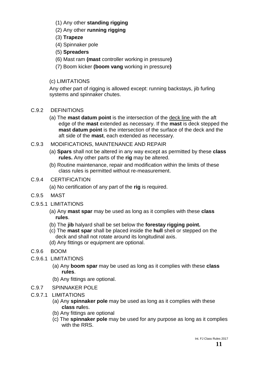- (1) Any other **standing rigging**
- (2) Any other **running rigging**
- (3) **Trapeze**
- (4) Spinnaker pole
- (5) **Spreaders**
- (6) Mast ram **(mast** controller working in pressure**)**
- (7) Boom kicker **(boom vang** working in pressure**)**

### (c) LIMITATIONS

Any other part of rigging is allowed except: running backstays, jib furling systems and spinnaker chutes.

- C.9.2 DEFINITIONS
	- (a) The **mast datum point** is the intersection of the deck line with the aft edge of the **mast** extended as necessary. If the **mast** is deck stepped the **mast datum point** is the intersection of the surface of the deck and the aft side of the **mast**, each extended as necessary.
- C.9.3 MODIFICATIONS, MAINTENANCE AND REPAIR
	- (a) **Spars** shall not be altered in any way except as permitted by these **class rules.** Any other parts of the **rig** may be altered.
	- (b) Routine maintenance, repair and modification within the limits of these class rules is permitted without re-measurement.

### C.9.4 CERTIFICATION

- (a) No certification of any part of the **rig** is required.
- C.9.5 MAST
- C.9.5.1 LIMITATIONS
	- (a) Any **mast spar** may be used as long as it complies with these **class rules**.
	- (b) The **jib** halyard shall be set below the **forestay rigging point.**
	- (c) The **mast spar** shall be placed inside the **hull** shell or stepped on the deck and shall not rotate around its longitudinal axis.
	- (d) Any fittings or equipment are optional.
- C.9.6 BOOM
- C.9.6.1 LIMITATIONS
	- (a) Any **boom spar** may be used as long as it complies with these **class rules**.
	- (b) Any fittings are optional.
- C.9.7 SPINNAKER POLE
- C.9.7.1 LIMITATIONS
	- (a) Any **spinnaker pole** may be used as long as it complies with these **class rul**es.
	- (b) Any fittings are optional
	- (c) The **spinnaker pole** may be used for any purpose as long as it complies with the RRS.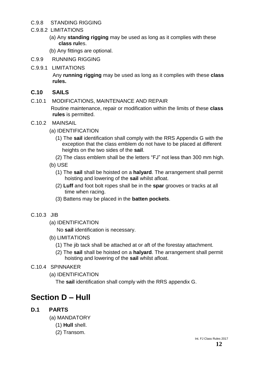#### C.9.8 STANDING RIGGING

#### C.9.8.2 LIMITATIONS

- (a) Any **standing rigging** may be used as long as it complies with these **class rul**es.
- (b) Any fittings are optional.
- C.9.9 RUNNING RIGGING
- C.9.9.1 LIMITATIONS

Any **running rigging** may be used as long as it complies with these **class rules.**

#### **C.10 SAILS**

- C.10.1 MODIFICATIONS, MAINTENANCE AND REPAIR Routine maintenance, repair or modification within the limits of these **class rules** is permitted.
- C.10.2 MAINSAIL
	- (a) IDENTIFICATION
		- (1) The **sail** identification shall comply with the RRS Appendix G with the exception that the class emblem do not have to be placed at different heights on the two sides of the **sail**.
		- (2) The class emblem shall be the letters "FJ" not less than 300 mm high.
	- (b) USE
		- (1) The **sail** shall be hoisted on a **halyard**. The arrangement shall permit hoisting and lowering of the **sail** whilst afloat.
		- (2) **Luff** and foot bolt ropes shall be in the **spar** grooves or tracks at all time when racing.
		- (3) Battens may be placed in the **batten pockets**.
- C.10.3 JIB
	- (a) IDENTIFICATION

No **sail** identification is necessary.

- (b) LIMITATIONS
	- (1) The jib tack shall be attached at or aft of the forestay attachment.
	- (2) The **sail** shall be hoisted on a **halyard**. The arrangement shall permit hoisting and lowering of the **sail** whilst afloat.
- C.10.4 SPINNAKER
	- (a) IDENTIFICATION

The **sail** identification shall comply with the RRS appendix G.

# **Section D – Hull**

### **D.1 PARTS**

- (a) MANDATORY
	- (1) **Hull** shell.
	- (2) Transom.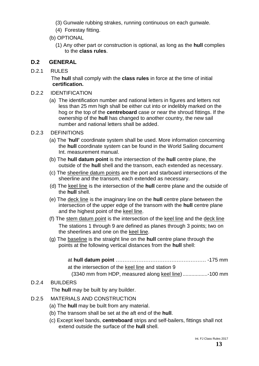- (3) Gunwale rubbing strakes, running continuous on each gunwale.
- (4) Forestay fitting.
- (b) OPTIONAL
	- (1) Any other part or construction is optional, as long as the **hull** complies to the **class rules**.

### **D.2 GENERAL**

D.2.1 RULES

 The **hull** shall comply with the **class rules** in force at the time of initial **certification.**

- D.2.2 IDENTIFICATION
	- (a) The identification number and national letters in figures and letters not less than 25 mm high shall be either cut into or indelibly marked on the hog or the top of the **centreboard** case or near the shroud fittings. If the ownership of the **hull** has changed to another country, the new sail number and national letters shall be added.
- D.2.3 DEFINITIONS
	- (a) The '**hull'** coordinate system shall be used. More information concerning the **hull** coordinate system can be found in the World Sailing document Int. measurement manual.
	- (b) The **hull datum point** is the intersection of the **hull** centre plane, the outside of the **hull** shell and the transom, each extended as necessary.
	- (c) The sheerline datum points are the port and starboard intersections of the sheerline and the transom, each extended as necessary.
	- (d) The keel line is the intersection of the **hull** centre plane and the outside of the **hull** shell.
	- (e) The deck line is the imaginary line on the **hull** centre plane between the intersection of the upper edge of the transom with the **hull** centre plane and the highest point of the keel line.
	- (f) The stem datum point is the intersection of the keel line and the deck line The stations 1 through 9 are defined as planes through 3 points; two on the sheerlines and one on the keel line.
	- (g) The baseline is the straight line on the **hull** centre plane through the points at the following vertical distances from the **hull** shell:

| at the intersection of the keel line and station 9 |  |
|----------------------------------------------------|--|
| (3340 mm from HDP, measured along keel line)100 mm |  |

# D.2.4 BUILDERS

The **hull** may be built by any builder.

- D.2.5 MATERIALS AND CONSTRUCTION
	- (a) The **hull** may be built from any material.
	- (b) The transom shall be set at the aft end of the **hull**.
	- (c) Except keel bands, **centreboard** strips and self-bailers, fittings shall not extend outside the surface of the **hull** shell.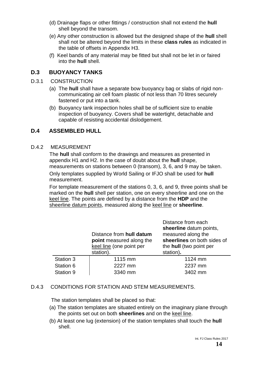- (d) Drainage flaps or other fittings / construction shall not extend the **hull** shell beyond the transom.
- (e) Any other construction is allowed but the designed shape of the **hull** shell shall not be altered beyond the limits in these **class rules** as indicated in the table of offsets in Appendix H3.
- (f) Keel bands of any material may be fitted but shall not be let in or faired into the **hull** shell.

#### **D.3 BUOYANCY TANKS**

- D.3.1 CONSTRUCTION
	- (a) The **hull** shall have a separate bow buoyancy bag or slabs of rigid noncommunicating air cell foam plastic of not less than 70 litres securely fastened or put into a tank.
	- (b) Buoyancy tank inspection holes shall be of sufficient size to enable inspection of buoyancy. Covers shall be watertight, detachable and capable of resisting accidental dislodgement.

#### **D.4 ASSEMBLED HULL**

#### D.4.2 MEASUREMENT

The **hull** shall conform to the drawings and measures as presented in appendix H1 and H2. In the case of doubt about the **hull** shape, measurements on stations between 0 (transom), 3, 6, and 9 may be taken. Only templates supplied by World Sailing or IFJO shall be used for **hull** measurement.

For template measurement of the stations 0, 3, 6, and 9, three points shall be marked on the **hull** shell per station, one on every sheerline and one on the keel line. The points are defined by a distance from the **HDP** and the sheerline datum points, measured along the keel line or **sheerline**.

|           | Distance from hull datum<br>point measured along the<br>keel line (one point per<br>station). | Distance from each<br>sheerline datum points,<br>measured along the<br>sheerlines on both sides of<br>the hull (two point per<br>station). |
|-----------|-----------------------------------------------------------------------------------------------|--------------------------------------------------------------------------------------------------------------------------------------------|
| Station 3 | 1115 mm                                                                                       | 1124 mm                                                                                                                                    |
| Station 6 | 2227 mm                                                                                       | 2237 mm                                                                                                                                    |
| Station 9 | 3340 mm                                                                                       | 3402 mm                                                                                                                                    |

#### D.4.3 CONDITIONS FOR STATION AND STEM MEASUREMENTS.

The station templates shall be placed so that:

- (a) The station templates are situated entirely on the imaginary plane through the points set out on both **sheerlines** and on the keel line.
- (b) At least one lug (extension) of the station templates shall touch the **hull** shell.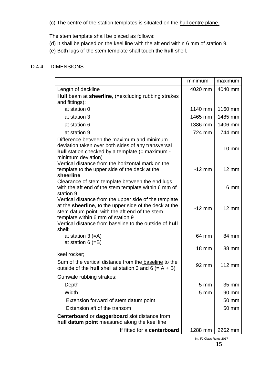(c) The centre of the station templates is situated on the hull centre plane.

The stem template shall be placed as follows:

- (d) It shall be placed on the keel line with the aft end within 6 mm of station 9.
- (e) Both lugs of the stem template shall touch the **hull** shell.

#### D.4.4 DIMENSIONS

|                                                                                                                                                                                                                                                                            | minimum         | maximum           |
|----------------------------------------------------------------------------------------------------------------------------------------------------------------------------------------------------------------------------------------------------------------------------|-----------------|-------------------|
| <b>Length of deckline</b>                                                                                                                                                                                                                                                  | 4020 mm         | 4040 mm           |
| Hull beam at sheerline, (=excluding rubbing strakes                                                                                                                                                                                                                        |                 |                   |
| and fittings):                                                                                                                                                                                                                                                             |                 |                   |
| at station 0                                                                                                                                                                                                                                                               | 1140 mm         | 1160 mm           |
| at station 3                                                                                                                                                                                                                                                               | 1465 mm         | 1485 mm           |
| at station 6                                                                                                                                                                                                                                                               | 1386 mm         | 1406 mm           |
| at station 9                                                                                                                                                                                                                                                               | 724 mm          | 744 mm            |
| Difference between the maximum and minimum<br>deviation taken over both sides of any transversal<br>hull station checked by a template (= maximum -<br>minimum deviation)                                                                                                  |                 | $10 \, \text{mm}$ |
| Vertical distance from the horizontal mark on the<br>template to the upper side of the deck at the<br>sheerline                                                                                                                                                            | $-12$ mm        | $12 \text{ mm}$   |
| Clearance of stem template between the end lugs<br>with the aft end of the stem template within 6 mm of<br>station 9                                                                                                                                                       |                 | 6 mm              |
| Vertical distance from the upper side of the template<br>at the sheerline, to the upper side of the deck at the<br>stem datum point, with the aft end of the stem<br>template within 6 mm of station 9<br>Vertical distance from baseline to the outside of hull<br>shell: | $-12$ mm        | $12 \text{ mm}$   |
| at station $3 (=A)$                                                                                                                                                                                                                                                        | 64 mm           | 84 mm             |
| at station $6 (=B)$<br>keel rocker;                                                                                                                                                                                                                                        | <b>18 mm</b>    | 38 mm             |
| Sum of the vertical distance from the baseline to the<br>outside of the hull shell at station 3 and 6 (= $A + B$ )                                                                                                                                                         | 92 mm           | $112 \text{ mm}$  |
| Gunwale rubbing strakes;                                                                                                                                                                                                                                                   |                 |                   |
| Depth                                                                                                                                                                                                                                                                      | 5 <sub>mm</sub> | 35 mm             |
| Width                                                                                                                                                                                                                                                                      | 5 <sub>mm</sub> | 90 mm             |
| Extension forward of stem datum point                                                                                                                                                                                                                                      |                 | 50 mm             |
| Extension aft of the transom                                                                                                                                                                                                                                               |                 | 50 mm             |
| <b>Centerboard or daggerboard slot distance from</b><br>hull datum point measured along the keel line                                                                                                                                                                      |                 |                   |
| If fitted for a centerboard                                                                                                                                                                                                                                                | 1288 mm         | 2262 mm           |

Int. FJ Class Rules 2017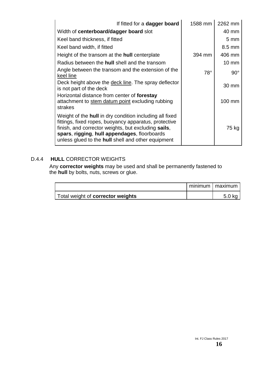| If fitted for a dagger board                                                                                                                                                                                                                                                         | 1588 mm    | 2262 mm          |
|--------------------------------------------------------------------------------------------------------------------------------------------------------------------------------------------------------------------------------------------------------------------------------------|------------|------------------|
| Width of centerboard/dagger board slot                                                                                                                                                                                                                                               |            | 40 mm            |
| Keel band thickness, if fitted                                                                                                                                                                                                                                                       |            | $5 \text{ mm}$   |
| Keel band width, if fitted                                                                                                                                                                                                                                                           |            | $8.5 \text{ mm}$ |
| Height of the transom at the <b>hull</b> centerplate                                                                                                                                                                                                                                 | 394 mm     | 406 mm           |
| Radius between the <b>hull</b> shell and the transom                                                                                                                                                                                                                                 |            | 10 mm            |
| Angle between the transom and the extension of the<br>keel line                                                                                                                                                                                                                      | $78^\circ$ | $90^\circ$       |
| Deck height above the deck line. The spray deflector<br>is not part of the deck                                                                                                                                                                                                      |            | 30 mm            |
| Horizontal distance from center of forestay<br>attachment to stem datum point excluding rubbing<br>strakes                                                                                                                                                                           |            | 100 mm           |
| Weight of the <b>hull</b> in dry condition including all fixed<br>fittings, fixed ropes, buoyancy apparatus, protective<br>finish, and corrector weights, but excluding sails,<br>spars, rigging, hull appendages, floorboards<br>unless glued to the hull shell and other equipment |            | 75 kg            |

#### D.4.4 **HULL** CORRECTOR WEIGHTS

Any **corrector weights** may be used and shall be permanently fastened to the **hull** by bolts, nuts, screws or glue.

|                                   | minimum   maximum |
|-----------------------------------|-------------------|
| Total weight of corrector weights | 5.0 kg            |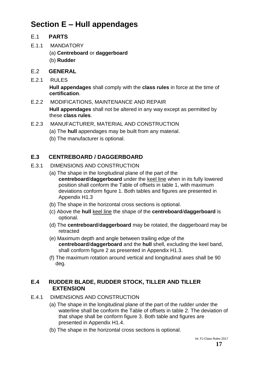# **Section E – Hull appendages**

#### E.1 **PARTS**

- E.1.1 MANDATORY
	- (a) **Centreboard** or **daggerboard**
	- (b) **Rudder**

#### E.2 **GENERAL**

E.2.1 RULES

**Hull appendages** shall comply with the **class rules** in force at the time of **certification**.

- E.2.2 MODIFICATIONS, MAINTENANCE AND REPAIR **Hull appendages** shall not be altered in any way except as permitted by these **class rules**.
- E.2.3 MANUFACTURER, MATERIAL AND CONSTRUCTION
	- (a) The **hull** appendages may be built from any material.
	- (b) The manufacturer is optional.

# **E.3 CENTREBOARD / DAGGERBOARD**

- E.3.1 DIMENSIONS AND CONSTRUCTION
	- (a) The shape in the longitudinal plane of the part of the **centreboard**/**daggerboard** under the keel line when in its fully lowered position shall conform the Table of offsets in table 1, with maximum deviations conform figure 1. Both tables and figures are presented in Appendix H1.3
	- (b) The shape in the horizontal cross sections is optional.
	- (c) Above the **hull** keel line the shape of the **centreboard**/**daggerboard** is optional.
	- (d) The **centreboard**/**daggerboard** may be rotated, the daggerboard may be retracted
	- (e) Maximum depth and angle between trailing edge of the **centreboard**/**daggerboard** and the **hull** shell, excluding the keel band, shall conform figure 2 as presented in Appendix H1.3.
	- (f) The maximum rotation around vertical and longitudinal axes shall be 90 deg.

#### **E.4 RUDDER BLADE, RUDDER STOCK, TILLER AND TILLER EXTENSION**

- E.4.1 DIMENSIONS AND CONSTRUCTION
	- (a) The shape in the longitudinal plane of the part of the rudder under the waterline shall be conform the Table of offsets in table 2. The deviation of that shape shall be conform figure 3. Both table and figures are presented in Appendix H1.4.
	- (b) The shape in the horizontal cross sections is optional.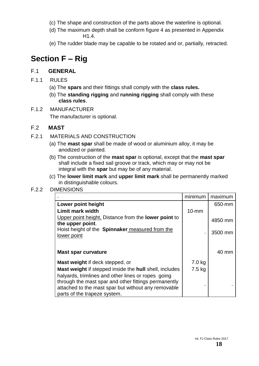- (c) The shape and construction of the parts above the waterline is optional.
- (d) The maximum depth shall be conform figure 4 as presented in Appendix H1.4.
- (e) The rudder blade may be capable to be rotated and or, partially, retracted.

# **Section F – Rig**

#### F.1 **GENERAL**

- F.1.1 RULES
	- (a) The **spars** and their fittings shall comply with the **class rules.**
	- (b) The **standing rigging** and **running rigging** shall comply with these **class rules**.
- F.1.2 MANUFACTURER The manufacturer is optional.

#### F.2 **MAST**

- F.2.1 MATERIALS AND CONSTRUCTION
	- (a) The **mast spar** shall be made of wood or aluminium alloy, it may be anodized or painted.
	- (b) The construction of the **mast spar** is optional, except that the **mast spar** shall include a fixed sail groove or track, which may or may not be integral with the **spar** but may be of any material.
	- (c) The **lower limit mark** and **upper limit mark** shall be permanently marked in distinguishable colours.

#### F.2.2 DIMENSIONS

|                                                                       | minimum          | maximum |
|-----------------------------------------------------------------------|------------------|---------|
| Lower point height                                                    |                  | 650-mm  |
| <b>Limit mark width</b>                                               | $10 - mm$        |         |
| Upper point height, Distance from the <b>lower point</b> to           |                  | 4850 mm |
| the upper point.                                                      |                  |         |
| Hoist height of the <b>Spinnaker</b> measured from the<br>lower point |                  | 3500 mm |
|                                                                       |                  |         |
|                                                                       |                  |         |
| Mast spar curvature                                                   |                  | 40 mm   |
| Mast weight if deck stepped, or                                       | 7.0 kg           |         |
| Mast weight if stepped inside the hull shell, includes                | $7.5 \text{ kg}$ |         |
| halyards, trimlines and other lines or ropes going                    |                  |         |
| through the mast spar and other fittings permanently                  |                  |         |
| attached to the mast spar but without any removable                   |                  |         |
| parts of the trapeze system.                                          |                  |         |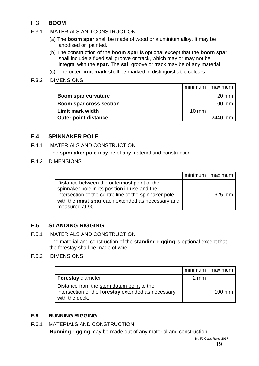# F.3 **BOOM**

- F.3.1 MATERIALS AND CONSTRUCTION
	- (a) The **boom spar** shall be made of wood or aluminium alloy. It may be anodised or painted.
	- (b) The construction of the **boom spar** is optional except that the **boom spar**  shall include a fixed sail groove or track, which may or may not be integral with the **spar.** The **sail** groove or track may be of any material.
	- (c) The outer **limit mark** shall be marked in distinguishable colours.

#### F.3.2 DIMENSIONS

|                             |                 | minimum   maximum |
|-----------------------------|-----------------|-------------------|
| Boom spar curvature         |                 | $20 \text{ mm}$   |
| Boom spar cross section     |                 | $100$ mm          |
| <b>Limit mark width</b>     | $10 \text{ mm}$ |                   |
| <b>Outer point distance</b> |                 | 2440 mm           |

#### **F.4 SPINNAKER POLE**

### F.4.1 MATERIALS AND CONSTRUCTION

The **spinnaker pole** may be of any material and construction.

F.4.2 DIMENSIONS

|                                                                                                                                                                                                                               | minimum   maximum |
|-------------------------------------------------------------------------------------------------------------------------------------------------------------------------------------------------------------------------------|-------------------|
| Distance between the outermost point of the<br>spinnaker pole in its position in use and the<br>intersection of the centre line of the spinnaker pole<br>with the mast spar each extended as necessary and<br>measured at 90° | 1625 mm           |

### **F.5 STANDING RIGGING**

#### F.5.1 MATERIALS AND CONSTRUCTION

The material and construction of the **standing rigging** is optional except that the forestay shall be made of wire.

#### F.5.2 DIMENSIONS

|                                                                                                                   |                | minimum   maximum |
|-------------------------------------------------------------------------------------------------------------------|----------------|-------------------|
| <b>Forestay diameter</b>                                                                                          | $2 \text{ mm}$ |                   |
| Distance from the stem datum point to the<br>intersection of the forestay extended as necessary<br>with the deck. |                | $100 \text{ mm}$  |

#### **F.6 RUNNING RIGGING**

#### F.6.1 MATERIALS AND CONSTRUCTION

**Running rigging** may be made out of any material and construction.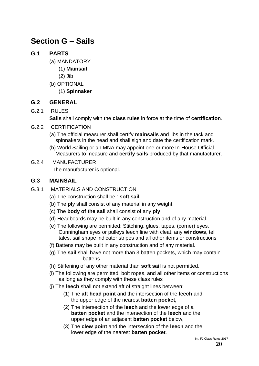# **Section G – Sails**

#### **G.1 PARTS**

- (a) MANDATORY
	- (1) **Mainsail**
	- (2) Jib
- (b) OPTIONAL
	- (1) **Spinnaker**

#### **G.2 GENERAL**

G.2.1 RULES

**Sails** shall comply with the **class rules** in force at the time of **certification**.

- G.2.2 CERTIFICATION
	- (a) The official measurer shall certify **mainsails** and jibs in the tack and spinnakers in the head and shall sign and date the certification mark.
	- (b) World Sailing or an MNA may appoint one or more In-House Official Measurers to measure and **certify sails** produced by that manufacturer.
- G.2.4 MANUFACTURER

The manufacturer is optional.

#### **G.3 MAINSAIL**

- G.3.1 MATERIALS AND CONSTRUCTION
	- (a) The construction shall be : **soft sail**
	- (b) The **pl**y shall consist of any material in any weight.
	- (c) The **body of the sail** shall consist of any **ply**
	- (d) Headboards may be built in any construction and of any material.
	- (e) The following are permitted: Stitching, glues, tapes, (corner) eyes, Cunningham eyes or pulleys leech line with cleat, any **windows**, tell tales, sail shape indicator stripes and all other items or constructions
	- (f) Battens may be built in any construction and of any material.
	- (g) The **sail** shall have not more than 3 batten pockets, which may contain battens.
	- (h) Stiffening of any other material than **soft sail** is not permitted.
	- (i) The following are permitted: bolt ropes, and all other items or constructions as long as they comply with these class rules
	- (j) The **leech** shall not extend aft of straight lines between:
		- (1) The **aft head point** and the intersection of the **leech** and the upper edge of the nearest **batten pocket,**
		- (2) The intersection of the **leech** and the lower edge of a **batten pocket** and the intersection of the **leech** and the upper edge of an adjacent **batten pocket** below,
		- (3) The **clew point** and the intersection of the **leech** and the lower edge of the nearest **batten pocket**.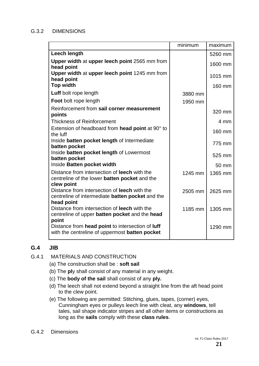#### G.3.2 DIMENSIONS

|                                                                                                                                     | minimum | maximum |
|-------------------------------------------------------------------------------------------------------------------------------------|---------|---------|
| Leech length                                                                                                                        |         | 5260 mm |
| Upper width at upper leech point 2565 mm from<br>head point                                                                         |         | 1600 mm |
| Upper width at upper leech point 1245 mm from<br>head point                                                                         |         | 1015 mm |
| <b>Top width</b>                                                                                                                    |         | 160 mm  |
| Luff bolt rope length                                                                                                               | 3880 mm |         |
| <b>Foot</b> bolt rope length                                                                                                        | 1950 mm |         |
| Reinforcement from sail corner measurement<br>points                                                                                |         | 320 mm  |
| <b>Thickness of Reinforcement</b>                                                                                                   |         | 4 mm    |
| Extension of headboard from head point at 90° to<br>the luff                                                                        |         | 160 mm  |
| Inside batten pocket length of Intermediate<br>batten pocket                                                                        |         | 775 mm  |
| Inside batten pocket length of Lowermost<br>batten pocket                                                                           |         | 525 mm  |
| Inside Batten pocket width                                                                                                          |         | 50 mm   |
| Distance from intersection of <b>leech</b> with the<br>centreline of the lower <b>batten pocket</b> and the                         | 1245 mm | 1365 mm |
| clew point<br>Distance from intersection of <b>leech</b> with the<br>centreline of intermediate batten pocket and the<br>head point | 2505 mm | 2625 mm |
| Distance from intersection of leech with the<br>centreline of upper batten pocket and the head<br>point                             | 1185 mm | 1305 mm |
| Distance from head point to intersection of luff<br>with the centreline of uppermost batten pocket                                  |         | 1290 mm |

#### **G.4 JIB**

- G.4.1 MATERIALS AND CONSTRUCTION
	- (a) The construction shall be : **soft sail**
	- (b) The **pl**y shall consist of any material in any weight.
	- (c) The **body of the sail** shall consist of any **ply.**
	- (d) The leech shall not extend beyond a straight line from the aft head point to the clew point.
	- (e) The following are permitted: Stitching, glues, tapes, (corner) eyes, Cunningham eyes or pulleys leech line with cleat, any **windows**, tell tales, sail shape indicator stripes and all other items or constructions as long as the **sails** comply with these **class rules**.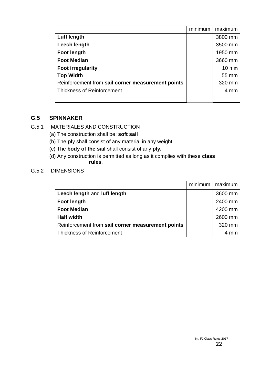|                                                   | minimum | maximum         |
|---------------------------------------------------|---------|-----------------|
| <b>Luff length</b>                                |         | 3800 mm         |
| Leech length                                      |         | 3500 mm         |
| <b>Foot length</b>                                |         | 1950 mm         |
| <b>Foot Median</b>                                |         | 3660 mm         |
| <b>Foot irregularity</b>                          |         | $10 \text{ mm}$ |
| <b>Top Width</b>                                  |         | 55 mm           |
| Reinforcement from sail corner measurement points |         | 320 mm          |
| <b>Thickness of Reinforcement</b>                 |         | 4 mm            |
|                                                   |         |                 |

#### **G.5 SPINNAKER**

- G.5.1 MATERIALES AND CONSTRUCTION
	- (a) The construction shall be: **soft sail**
	- (b) The **pl**y shall consist of any material in any weight.
	- (c) The **body of the sail** shall consist of any **ply.**
	- (d) Any construction is permitted as long as it complies with these **class rules**.

#### G.5.2 DIMENSIONS

|                                                   | minimum | maximum |
|---------------------------------------------------|---------|---------|
| Leech length and luff length                      |         | 3600 mm |
| <b>Foot length</b>                                |         | 2400 mm |
| <b>Foot Median</b>                                |         | 4200 mm |
| <b>Half width</b>                                 |         | 2600 mm |
| Reinforcement from sail corner measurement points |         | 320 mm  |
| <b>Thickness of Reinforcement</b>                 |         | 4 mm    |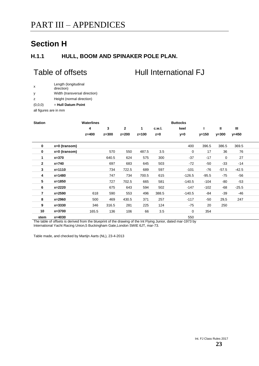# **Section H**

#### **H.1.1 HULL, BOOM AND SPINAKER POLE PLAN.**

# Table of offsets **Hull International FJ**

|  | Length (longitudinal |
|--|----------------------|
|  | direction)           |

y Width (transversal direction)

z Height (normal direction)

(0,0,0) = **Hull Datum Point**

all figures are in mm

| <b>Station</b> |                 | Waterlines |         |                |           |        | <b>Buttocks</b> |         |           |              |  |
|----------------|-----------------|------------|---------|----------------|-----------|--------|-----------------|---------|-----------|--------------|--|
|                |                 | 4          | 3       | $\overline{2}$ | 1         | c.w.l. | keel            |         | Ш         | $\mathbf{m}$ |  |
|                |                 | $z=400$    | $z=300$ | $z=200$        | $z = 100$ | $z=0$  | $y=0$           | $y=150$ | $y = 300$ | $y=450$      |  |
|                |                 |            |         |                |           |        |                 |         |           |              |  |
| $\mathbf 0$    | $x=0$ (transom) |            |         |                |           |        | 400             | 396.5   | 386.5     | 369.5        |  |
| $\mathbf 0$    | $x=0$ (transom) |            | 570     | 550            | 487.5     | 3.5    | $\mathbf 0$     | 17      | 36        | 76           |  |
| 1              | $x = 370$       |            | 640.5   | 624            | 575       | 300    | $-37$           | $-17$   | 0         | 27           |  |
| $\overline{2}$ | x=740           |            | 697     | 683            | 645       | 503    | $-72$           | -50     | $-33$     | $-14$        |  |
| 3              | $x=1110$        |            | 734     | 722.5          | 689       | 597    | $-101$          | -76     | $-57.5$   | $-42.5$      |  |
| 4              | $x=1480$        |            | 747     | 734            | 700.5     | 615    | $-126.5$        | $-95.5$ | $-75$     | $-56$        |  |
| 5              | $x = 1850$      |            | 727     | 702.5          | 665       | 581    | $-140.5$        | $-104$  | -80       | $-53$        |  |
| 6              | $x=2220$        |            | 675     | 643            | 594       | 502    | $-147$          | $-102$  | -68       | $-25.5$      |  |
| $\overline{7}$ | $x = 2590$      | 618        | 590     | 553            | 496       | 388.5  | $-140.5$        | -84     | $-39$     | $-46$        |  |
| 8              | x=2960          | 500        | 469     | 430.5          | 371       | 257    | $-117$          | -50     | 29,5      | 247          |  |
| 9              | $x = 3330$      | 346        | 316.5   | 281            | 225       | 124    | -75             | 20      | 250       |              |  |
| 10             | $x = 3700$      | 165.5      | 136     | 106            | 66        | 3.5    | $\mathbf 0$     | 354     |           |              |  |
| stem           | $x=4030$        |            |         |                |           |        | 550             |         |           |              |  |

The table of offsets is derived from the blueprint of the drawing of the Int Flying Junior, dated mar-1973 by International Yacht Racing Union,5 Buckingham Gate,London SWIE 6JT, mar-73.

Table made, and checked by Martijn Aarts (NL), 23-4-2013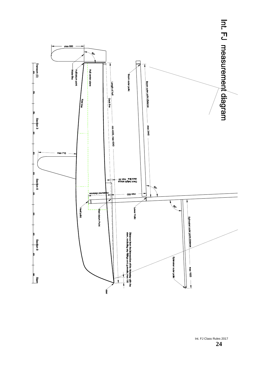

Int. FJ Class Rules 2017 **24**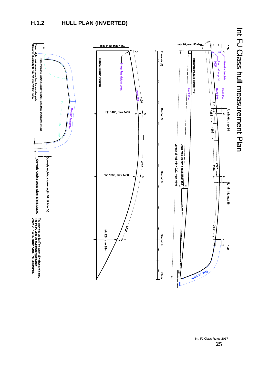### **H.1.2 HULL PLAN (INVERTED)**



Int. FJ Class Rules 2017<br>25 **25**

Int PJ Class Pull uneasurement Plan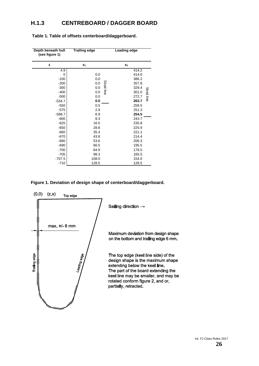#### **H.1.3 CENTREBOARD / DAGGER BOARD**

| Depth beneath hull<br>(see figure 1) | <b>Trailing edge</b> | Leading edge                               |
|--------------------------------------|----------------------|--------------------------------------------|
| z                                    | $x_1$                | x <sub>2</sub>                             |
| 4.9                                  |                      | 414.2                                      |
| 0                                    | 0.0                  | 414.6                                      |
| $-100$                               | 0.0                  | 386.2                                      |
| $-200$                               | 0.0                  | 357.8                                      |
| $-300$                               | 0.0                  | 329.4                                      |
| $-400$                               | 0.0                  | Strait line<br><b>Strait line</b><br>301.0 |
| $-500$                               | 0.0                  | 272.7                                      |
| $-534.7$                             | 0.0                  | 263.7                                      |
| $-550$                               | 0.5                  | 258.5                                      |
| $-575$                               | 2.9                  | 251.3                                      |
| $-598.7$                             | 6.9                  | 254.5                                      |
| $-600$                               | 8.3                  | 243.7                                      |
| $-625$                               | 16.5                 | 235.8                                      |
| $-650$                               | 28.8                 | 225.9                                      |
| $-660$                               | 35.4                 | 221.1                                      |
| $-670$                               | 43.8                 | 214.4                                      |
| $-680$                               | 53.6                 | 206.3                                      |
| $-690$                               | 66.5                 | 195.5                                      |
| $-700$                               | 84.9                 | 178.5                                      |
| $-705$                               | 98.3                 | 165.5                                      |
| $-707.5$                             | 108.0                | 154.0                                      |
| $-710$                               | 128.5                | 128.5                                      |

**Table 1. Table of offsets centerboard/daggerboard.**

**Figure 1. Deviation of design shape of centerboard/daggerboard.**

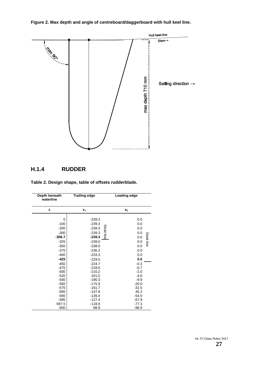**Figure 2. Max depth and angle of centreboard/daggerboard with hull keel line.**



#### **H.1.4 RUDDER**

**Table 2. Design shape, table of offsets rudderblade.**

| Depth beneath<br>waterline                                                                                             | <b>Trailing edge</b>                                                                                                                       | Leading edge                                                                                                             |  |  |
|------------------------------------------------------------------------------------------------------------------------|--------------------------------------------------------------------------------------------------------------------------------------------|--------------------------------------------------------------------------------------------------------------------------|--|--|
| z                                                                                                                      | $X_1$                                                                                                                                      | $x_2$                                                                                                                    |  |  |
| $\Omega$<br>$-100$<br>$-200$<br>$-300$<br>$-306.7$<br>$-325$<br>$-350$<br>$-375$<br>$-400$<br>$-425$                   | $-239.3$<br>$-239.3$<br><b>Strait line</b><br>$-239.3$<br>$-239.3$<br>$-239.3$<br>$-239.0$<br>$-238.0$<br>$-236.2$<br>$-233.3$<br>$-229.5$ | 0.0<br>0.0<br>0.0<br>0.0<br><b>Strait line</b><br>0.0<br>0.0<br>0.0<br>0.0<br>0.0<br>0.0                                 |  |  |
| $-450$<br>$-475$<br>$-500$<br>$-520$<br>$-540$<br>$-560$<br>$-575$<br>$-585$<br>$-590$<br>$-595$<br>$-597.5$<br>$-600$ | $-224.7$<br>$-218.6$<br>$-210.2$<br>201.5<br>$-190.3$<br>$-175.9$<br>$-161.7$<br>$-147.8$<br>$-139.4$<br>$-127.4$<br>$-118.6$<br>$-98.9$   | $-0.3$<br>$-0.7$<br>$-2.0$<br>$-4.6$<br>$-9.9$<br>$-20.0$<br>$-32.5$<br>45.2<br>$-54.0$<br>$-67.9$<br>$-77.3$<br>$-98.9$ |  |  |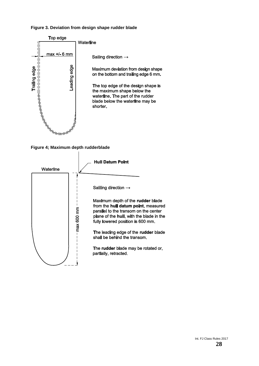#### **Figure 3. Deviation from design shape rudder blade**





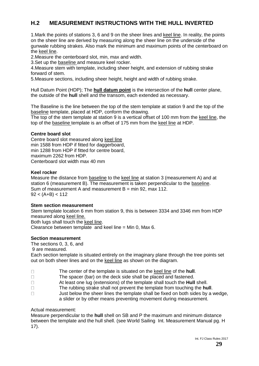### **H.2 MEASUREMENT INSTRUCTIONS WITH THE HULL INVERTED**

1. Mark the points of stations 3, 6 and 9 on the sheer lines and keel line. In reality, the points on the sheer line are derived by measuring along the sheer line on the underside of the gunwale rubbing strakes. Also mark the minimum and maximum points of the centerboard on the keel line.

2.Measure the centerboard slot, min, max and width.

3.Set up the baseline and measure keel rocker.

4.Measure stem with template, including sheer height, and extension of rubbing strake forward of stem.

5.Measure sections, including sheer height, height and width of rubbing strake.

Hull Datum Point (HDP); The **hull datum point** is the intersection of the **hull** center plane, the outside of the **hull** shell and the transom, each extended as necessary.

The Baseline is the line between the top of the stem template at station 9 and the top of the baseline template, placed at HDP, conform the drawing.

The top of the stem template at station 9 is a vertical offset of 100 mm from the keel line, the top of the baseline template is an offset of 175 mm from the keel line at HDP.

#### **Centre board slot**

Centre board slot measured along keel line min 1588 from HDP if fitted for daggerboard, min 1288 from HDP if fitted for centre board, maximum 2262 from HDP. Centerboard slot width max 40 mm

#### **Keel rocker**

Measure the distance from baseline to the keel line at station 3 (measurement A) and at station 6 (measurement B). The measurement is taken perpendicular to the baseline. Sum of measurement A and measurement  $B = min 92$ , max 112.  $92 < (A+B) < 112$ 

#### **Stem section measurement**

Stem template location 6 mm from station 9, this is between 3334 and 3346 mm from HDP measured along keel line. Both lugs shall touch the keel line. Clearance between template and keel line = Min 0, Max 6.

#### **Section measurement**

The sections 0, 3, 6, and

9 are measured.

Each section template is situated entirely on the imaginary plane through the tree points set out on both sheer lines and on the keel line as shown on the diagram.

| The center of the template is situated on the keel line of the hull. |  |
|----------------------------------------------------------------------|--|
|                                                                      |  |

The spacer (bar) on the deck side shall be placed and fastened.  $\Box$ 

- $\Box$ At least one lug (extensions) of the template shall touch the **Hull** shell.
- $\Box$ The rubbing strake shall not prevent the template from touching the **hull**.
- Just below the sheer lines the template shall be fixed on both sides by a wedge,  $\Box$ a slider or by other means preventing movement during measurement.

#### Actual measurement:

Measure perpendicular to the **hull** shell on SB and P the maximum and minimum distance between the template and the hull shell. (see World Sailing Int. Measurement Manual pg. H 17).